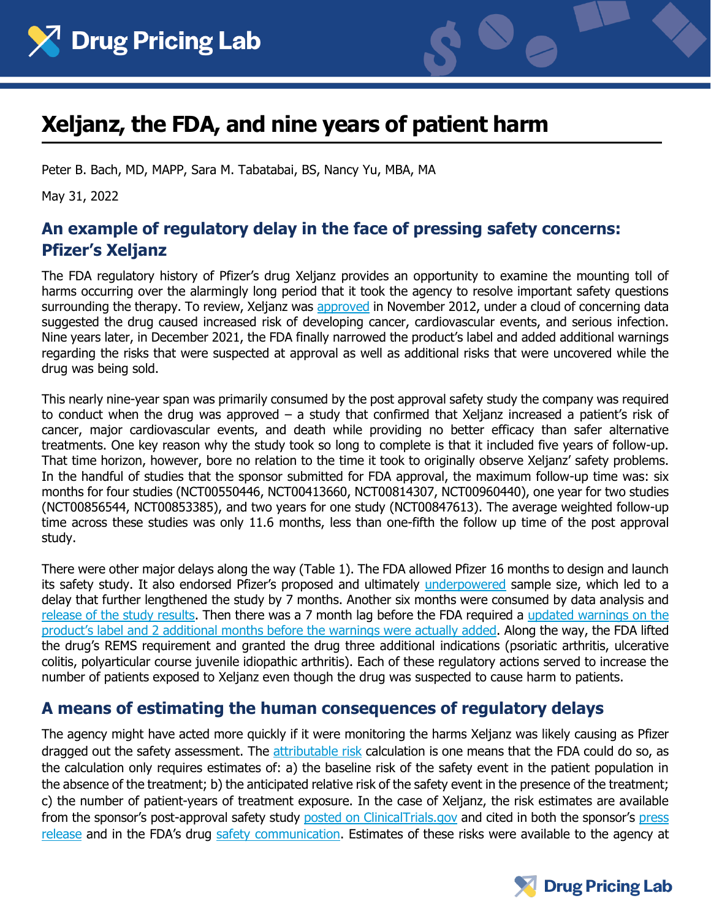



# **Xeljanz, the FDA, and nine years of patient harm**

Peter B. Bach, MD, MAPP, Sara M. Tabatabai, BS, Nancy Yu, MBA, MA

May 31, 2022

## **An example of regulatory delay in the face of pressing safety concerns: Pfizer's Xeljanz**

The FDA regulatory history of Pfizer's drug Xeljanz provides an opportunity to examine the mounting toll of harms occurring over the alarmingly long period that it took the agency to resolve important safety questions surrounding the therapy. To review, Xeljanz was [approved](https://www.accessdata.fda.gov/drugsatfda_docs/appletter/2012/203214Orig1s000ltr.pdf) in November 2012, under a cloud of concerning data suggested the drug caused increased risk of developing cancer, cardiovascular events, and serious infection. Nine years later, in December 2021, the FDA finally narrowed the product's label and added additional warnings regarding the risks that were suspected at approval as well as additional risks that were uncovered while the drug was being sold.

This nearly nine-year span was primarily consumed by the post approval safety study the company was required to conduct when the drug was approved – a study that confirmed that Xeljanz increased a patient's risk of cancer, major cardiovascular events, and death while providing no better efficacy than safer alternative treatments. One key reason why the study took so long to complete is that it included five years of follow-up. That time horizon, however, bore no relation to the time it took to originally observe Xeljanz' safety problems. In the handful of studies that the sponsor submitted for FDA approval, the maximum follow-up time was: six months for four studies (NCT00550446, NCT00413660, NCT00814307, NCT00960440), one year for two studies (NCT00856544, NCT00853385), and two years for one study (NCT00847613). The average weighted follow-up time across these studies was only 11.6 months, less than one-fifth the follow up time of the post approval study.

There were other major delays along the way (Table 1). The FDA allowed Pfizer 16 months to design and launch its safety study. It also endorsed Pfizer's proposed and ultimately [underpowered](https://pink.pharmaintelligence.informa.com/PS143764/Pfizers-Xeljanz-Could-See-Narrower-Label-And-New-REMS-Due-To-CV-And-Malignancy-Risks) sample size, which led to a delay that further lengthened the study by 7 months. Another six months were consumed by data analysis and [release of the study results.](https://www.pfizer.com/news/press-release/press-release-detail/pfizer-shares-co-primary-endpoint-results-post-marketing) Then there was a 7 month lag before the FDA required a [updated warnings on the](https://www.fda.gov/drugs/drug-safety-and-availability/fda-requires-warnings-about-increased-risk-serious-heart-related-events-cancer-blood-clots-and-death?Wed,%2001%20Sep%202021%2010:08:37%20EDT)  [product's label](https://www.fda.gov/drugs/drug-safety-and-availability/fda-requires-warnings-about-increased-risk-serious-heart-related-events-cancer-blood-clots-and-death?Wed,%2001%20Sep%202021%2010:08:37%20EDT) and 2 additional months before the warnings were [actually added.](https://cdn.pfizer.com/pfizercom/2021-12/Xeljanz_Label_Update_Media_Statement_Final_12-3-21.pdf?QB9EmriKxYF4aE_n6Af4OUuIfGGlWsXq) Along the way, the FDA lifted the drug's REMS requirement and granted the drug three additional indications (psoriatic arthritis, ulcerative colitis, polyarticular course juvenile idiopathic arthritis). Each of these regulatory actions served to increase the number of patients exposed to Xeljanz even though the drug was suspected to cause harm to patients.

### **A means of estimating the human consequences of regulatory delays**

The agency might have acted more quickly if it were monitoring the harms Xeljanz was likely causing as Pfizer dragged out the safety assessment. The [attributable risk](https://www.bmj.com/about-bmj/resources-readers/publications/epidemiology-uninitiated/3-comparing-disease-rates) calculation is one means that the FDA could do so, as the calculation only requires estimates of: a) the baseline risk of the safety event in the patient population in the absence of the treatment; b) the anticipated relative risk of the safety event in the presence of the treatment; c) the number of patient-years of treatment exposure. In the case of Xeljanz, the risk estimates are available from the sponsor's post-approval safety study [posted on ClinicalTrials.gov](https://clinicaltrials.gov/ct2/show/NCT02092467) and cited in both the sponsor's press [release](https://www.pfizer.com/news/press-release/press-release-detail/pfizer-shares-co-primary-endpoint-results-post-marketing) and in the FDA's drug [safety communication.](https://www.fda.gov/drugs/drug-safety-and-availability/fda-requires-warnings-about-increased-risk-serious-heart-related-events-cancer-blood-clots-and-death?Wed,%2001%20Sep%202021%2010:08:37%20EDT) Estimates of these risks were available to the agency at

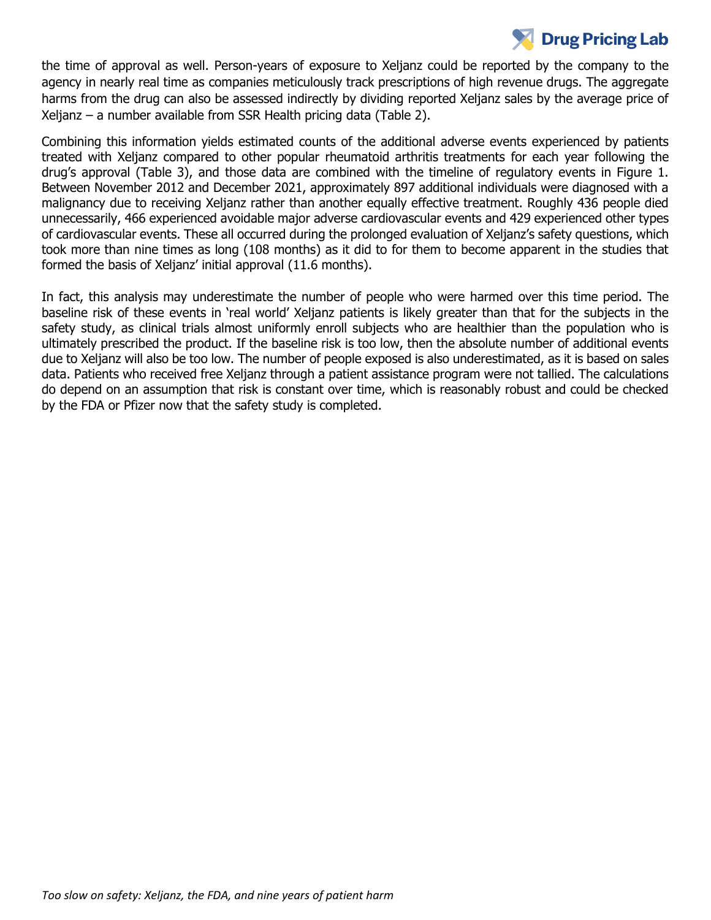## **Drug Pricing Lab**

the time of approval as well. Person-years of exposure to Xeljanz could be reported by the company to the agency in nearly real time as companies meticulously track prescriptions of high revenue drugs. The aggregate harms from the drug can also be assessed indirectly by dividing reported Xeljanz sales by the average price of Xeljanz – a number available from SSR Health pricing data (Table 2).

Combining this information yields estimated counts of the additional adverse events experienced by patients treated with Xeljanz compared to other popular rheumatoid arthritis treatments for each year following the drug's approval (Table 3), and those data are combined with the timeline of regulatory events in Figure 1. Between November 2012 and December 2021, approximately 897 additional individuals were diagnosed with a malignancy due to receiving Xeljanz rather than another equally effective treatment. Roughly 436 people died unnecessarily, 466 experienced avoidable major adverse cardiovascular events and 429 experienced other types of cardiovascular events. These all occurred during the prolonged evaluation of Xeljanz's safety questions, which took more than nine times as long (108 months) as it did to for them to become apparent in the studies that formed the basis of Xeljanz' initial approval (11.6 months).

In fact, this analysis may underestimate the number of people who were harmed over this time period. The baseline risk of these events in 'real world' Xeljanz patients is likely greater than that for the subjects in the safety study, as clinical trials almost uniformly enroll subjects who are healthier than the population who is ultimately prescribed the product. If the baseline risk is too low, then the absolute number of additional events due to Xeljanz will also be too low. The number of people exposed is also underestimated, as it is based on sales data. Patients who received free Xeljanz through a patient assistance program were not tallied. The calculations do depend on an assumption that risk is constant over time, which is reasonably robust and could be checked by the FDA or Pfizer now that the safety study is completed.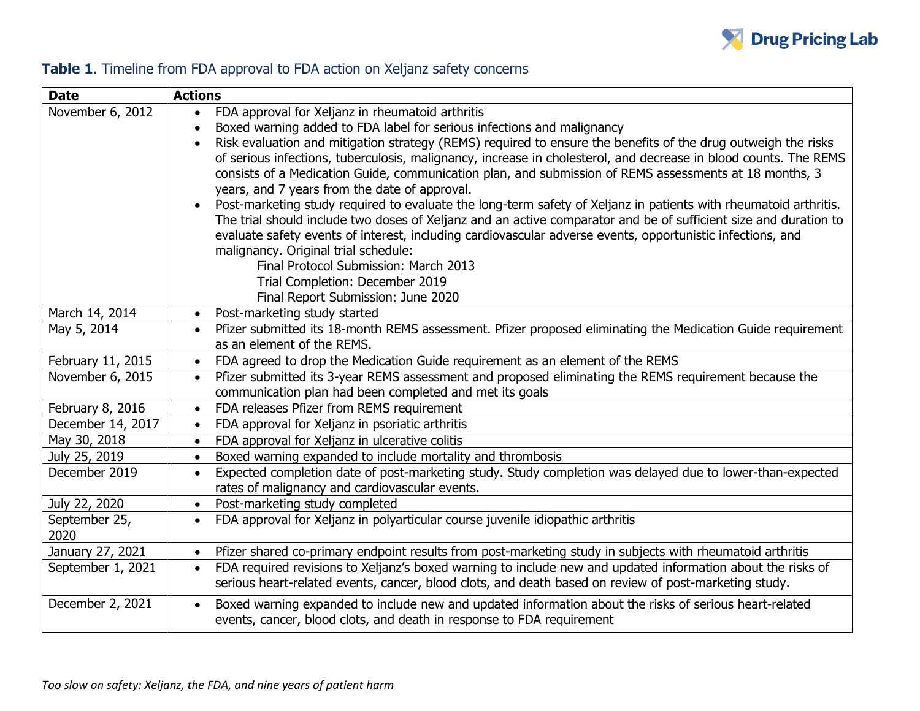

## **Table 1**. Timeline from FDA approval to FDA action on Xeljanz safety concerns

| <b>Date</b>           | <b>Actions</b>                                                                                                                                                                                                                                                                                                                                                                                                                                                                                                                                                                                                                                                                                                                                                                                                                                                                                                                                                                                                                                                                    |  |  |  |
|-----------------------|-----------------------------------------------------------------------------------------------------------------------------------------------------------------------------------------------------------------------------------------------------------------------------------------------------------------------------------------------------------------------------------------------------------------------------------------------------------------------------------------------------------------------------------------------------------------------------------------------------------------------------------------------------------------------------------------------------------------------------------------------------------------------------------------------------------------------------------------------------------------------------------------------------------------------------------------------------------------------------------------------------------------------------------------------------------------------------------|--|--|--|
| November 6, 2012      | FDA approval for Xeljanz in rheumatoid arthritis<br>$\bullet$<br>Boxed warning added to FDA label for serious infections and malignancy<br>Risk evaluation and mitigation strategy (REMS) required to ensure the benefits of the drug outweigh the risks<br>$\bullet$<br>of serious infections, tuberculosis, malignancy, increase in cholesterol, and decrease in blood counts. The REMS<br>consists of a Medication Guide, communication plan, and submission of REMS assessments at 18 months, 3<br>years, and 7 years from the date of approval.<br>Post-marketing study required to evaluate the long-term safety of Xeljanz in patients with rheumatoid arthritis.<br>$\bullet$<br>The trial should include two doses of Xeljanz and an active comparator and be of sufficient size and duration to<br>evaluate safety events of interest, including cardiovascular adverse events, opportunistic infections, and<br>malignancy. Original trial schedule:<br>Final Protocol Submission: March 2013<br>Trial Completion: December 2019<br>Final Report Submission: June 2020 |  |  |  |
| March 14, 2014        | Post-marketing study started<br>$\bullet$                                                                                                                                                                                                                                                                                                                                                                                                                                                                                                                                                                                                                                                                                                                                                                                                                                                                                                                                                                                                                                         |  |  |  |
| May 5, 2014           | Pfizer submitted its 18-month REMS assessment. Pfizer proposed eliminating the Medication Guide requirement<br>as an element of the REMS.                                                                                                                                                                                                                                                                                                                                                                                                                                                                                                                                                                                                                                                                                                                                                                                                                                                                                                                                         |  |  |  |
| February 11, 2015     | FDA agreed to drop the Medication Guide requirement as an element of the REMS<br>$\bullet$                                                                                                                                                                                                                                                                                                                                                                                                                                                                                                                                                                                                                                                                                                                                                                                                                                                                                                                                                                                        |  |  |  |
| November 6, 2015      | Pfizer submitted its 3-year REMS assessment and proposed eliminating the REMS requirement because the<br>$\bullet$<br>communication plan had been completed and met its goals                                                                                                                                                                                                                                                                                                                                                                                                                                                                                                                                                                                                                                                                                                                                                                                                                                                                                                     |  |  |  |
| February 8, 2016      | FDA releases Pfizer from REMS requirement                                                                                                                                                                                                                                                                                                                                                                                                                                                                                                                                                                                                                                                                                                                                                                                                                                                                                                                                                                                                                                         |  |  |  |
| December 14, 2017     | FDA approval for Xeljanz in psoriatic arthritis<br>$\bullet$                                                                                                                                                                                                                                                                                                                                                                                                                                                                                                                                                                                                                                                                                                                                                                                                                                                                                                                                                                                                                      |  |  |  |
| May 30, 2018          | FDA approval for Xeljanz in ulcerative colitis<br>$\bullet$                                                                                                                                                                                                                                                                                                                                                                                                                                                                                                                                                                                                                                                                                                                                                                                                                                                                                                                                                                                                                       |  |  |  |
| July 25, 2019         | Boxed warning expanded to include mortality and thrombosis<br>$\bullet$                                                                                                                                                                                                                                                                                                                                                                                                                                                                                                                                                                                                                                                                                                                                                                                                                                                                                                                                                                                                           |  |  |  |
| December 2019         | Expected completion date of post-marketing study. Study completion was delayed due to lower-than-expected<br>$\bullet$<br>rates of malignancy and cardiovascular events.                                                                                                                                                                                                                                                                                                                                                                                                                                                                                                                                                                                                                                                                                                                                                                                                                                                                                                          |  |  |  |
| July 22, 2020         | Post-marketing study completed<br>$\bullet$                                                                                                                                                                                                                                                                                                                                                                                                                                                                                                                                                                                                                                                                                                                                                                                                                                                                                                                                                                                                                                       |  |  |  |
| September 25,<br>2020 | FDA approval for Xeljanz in polyarticular course juvenile idiopathic arthritis<br>$\bullet$                                                                                                                                                                                                                                                                                                                                                                                                                                                                                                                                                                                                                                                                                                                                                                                                                                                                                                                                                                                       |  |  |  |
| January 27, 2021      | Pfizer shared co-primary endpoint results from post-marketing study in subjects with rheumatoid arthritis<br>$\bullet$                                                                                                                                                                                                                                                                                                                                                                                                                                                                                                                                                                                                                                                                                                                                                                                                                                                                                                                                                            |  |  |  |
| September 1, 2021     | FDA required revisions to Xeljanz's boxed warning to include new and updated information about the risks of<br>$\bullet$<br>serious heart-related events, cancer, blood clots, and death based on review of post-marketing study.                                                                                                                                                                                                                                                                                                                                                                                                                                                                                                                                                                                                                                                                                                                                                                                                                                                 |  |  |  |
| December 2, 2021      | Boxed warning expanded to include new and updated information about the risks of serious heart-related<br>$\bullet$<br>events, cancer, blood clots, and death in response to FDA requirement                                                                                                                                                                                                                                                                                                                                                                                                                                                                                                                                                                                                                                                                                                                                                                                                                                                                                      |  |  |  |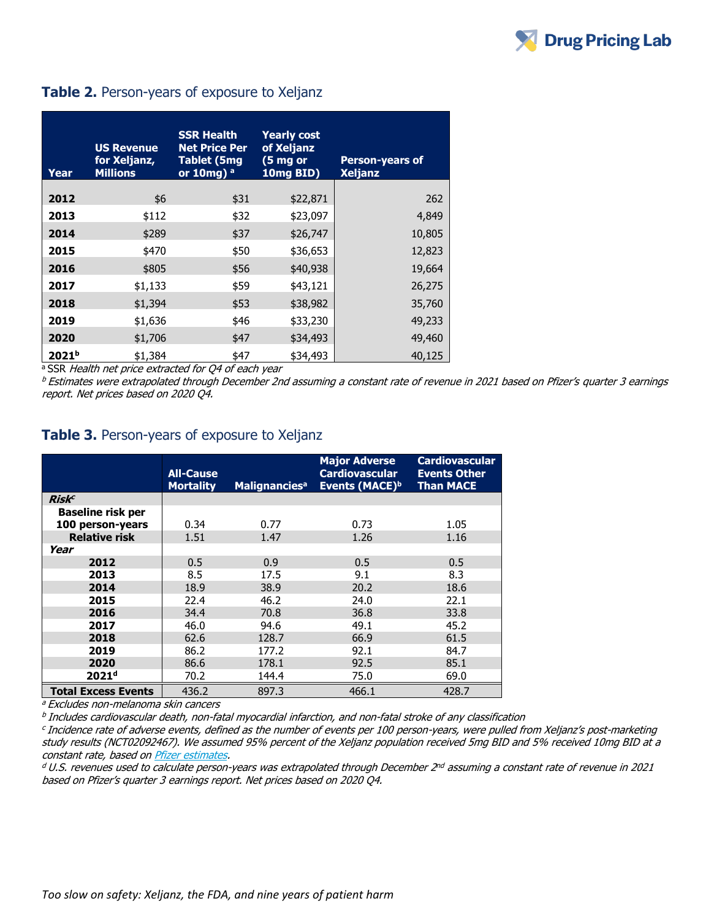#### **Table 2.** Person-years of exposure to Xeljanz

| Year              | <b>US Revenue</b><br>for Xeljanz,<br><b>Millions</b> | <b>SSR Health</b><br><b>Net Price Per</b><br>Tablet (5mg<br>or $10$ mg) $a$ | <b>Yearly cost</b><br>of Xeljanz<br>(5 mg or<br>10mg BID) | <b>Person-years of</b><br><b>Xeljanz</b> |
|-------------------|------------------------------------------------------|-----------------------------------------------------------------------------|-----------------------------------------------------------|------------------------------------------|
| 2012              | \$6                                                  | \$31                                                                        | \$22,871                                                  | 262                                      |
| 2013              | \$112                                                | \$32                                                                        | \$23,097                                                  | 4,849                                    |
| 2014              | \$289                                                | \$37                                                                        | \$26,747                                                  | 10,805                                   |
| 2015              | \$470                                                | \$50                                                                        | \$36,653                                                  | 12,823                                   |
| 2016              | \$805                                                | \$56                                                                        | \$40,938                                                  | 19,664                                   |
| 2017              | \$1,133                                              | \$59                                                                        | \$43,121                                                  | 26,275                                   |
| 2018              | \$1,394                                              | \$53                                                                        | \$38,982                                                  | 35,760                                   |
| 2019              | \$1,636                                              | \$46                                                                        | \$33,230                                                  | 49,233                                   |
| 2020              | \$1,706                                              | \$47                                                                        | \$34,493                                                  | 49,460                                   |
| 2021 <sup>b</sup> | \$1,384                                              | \$47                                                                        | \$34,493                                                  | 40,125                                   |

<sup>a</sup> SSR Health net price extracted for Q4 of each year

<sup>b</sup> Estimates were extrapolated through December 2nd assuming a constant rate of revenue in 2021 based on Pfizer's quarter 3 earnings report. Net prices based on 2020 Q4.

#### **Table 3.** Person-years of exposure to Xeljanz

|                            | <b>All-Cause</b><br><b>Mortality</b> | <b>Malignancies<sup>a</sup></b> | <b>Major Adverse</b><br><b>Cardiovascular</b><br>Events (MACE) <sup>b</sup> | <b>Cardiovascular</b><br><b>Events Other</b><br><b>Than MACE</b> |
|----------------------------|--------------------------------------|---------------------------------|-----------------------------------------------------------------------------|------------------------------------------------------------------|
| Risk <sup>c</sup>          |                                      |                                 |                                                                             |                                                                  |
| <b>Baseline risk per</b>   |                                      |                                 |                                                                             |                                                                  |
| 100 person-years           | 0.34                                 | 0.77                            | 0.73                                                                        | 1.05                                                             |
| <b>Relative risk</b>       | 1.51                                 | 1.47                            | 1.26                                                                        | 1.16                                                             |
| Year                       |                                      |                                 |                                                                             |                                                                  |
| 2012                       | 0.5                                  | 0.9                             | 0.5                                                                         | 0.5                                                              |
| 2013                       | 8.5                                  | 17.5                            | 9.1                                                                         | 8.3                                                              |
| 2014                       | 18.9                                 | 38.9                            | 20.2                                                                        | 18.6                                                             |
| 2015                       | 22.4                                 | 46.2                            | 24.0                                                                        | 22.1                                                             |
| 2016                       | 34.4                                 | 70.8                            | 36.8                                                                        | 33.8                                                             |
| 2017                       | 46.0                                 | 94.6                            | 49.1                                                                        | 45.2                                                             |
| 2018                       | 62.6                                 | 128.7                           | 66.9                                                                        | 61.5                                                             |
| 2019                       | 86.2                                 | 177.2                           | 92.1                                                                        | 84.7                                                             |
| 2020                       | 86.6                                 | 178.1                           | 92.5                                                                        | 85.1                                                             |
| 2021 <sup>d</sup>          | 70.2                                 | 144.4                           | 75.0                                                                        | 69.0                                                             |
| <b>Total Excess Events</b> | 436.2                                | 897.3                           | 466.1                                                                       | 428.7                                                            |

<sup>a</sup> Excludes non-melanoma skin cancers

b Includes cardiovascular death, non-fatal myocardial infarction, and non-fatal stroke of any classification

c Incidence rate of adverse events, defined as the number of events per 100 person-years, were pulled from Xeljanz's post-marketing study results (NCT02092467). We assumed 95% percent of the Xeljanz population received 5mg BID and 5% received 10mg BID at a constant rate, based o[n Pfizer estimates.](https://www.xeljanzhcp.com/jaki-experience/market-experience)

d U.S. revenues used to calculate person-years was extrapolated through December 2<sup>nd</sup> assuming a constant rate of revenue in 2021 based on Pfizer's quarter 3 earnings report. Net prices based on 2020 Q4.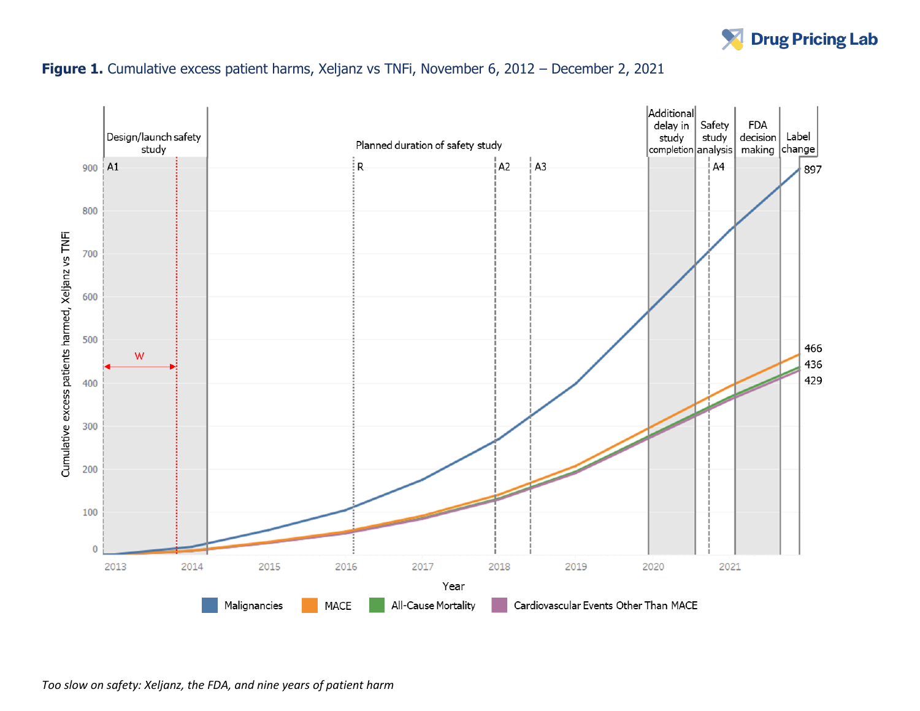